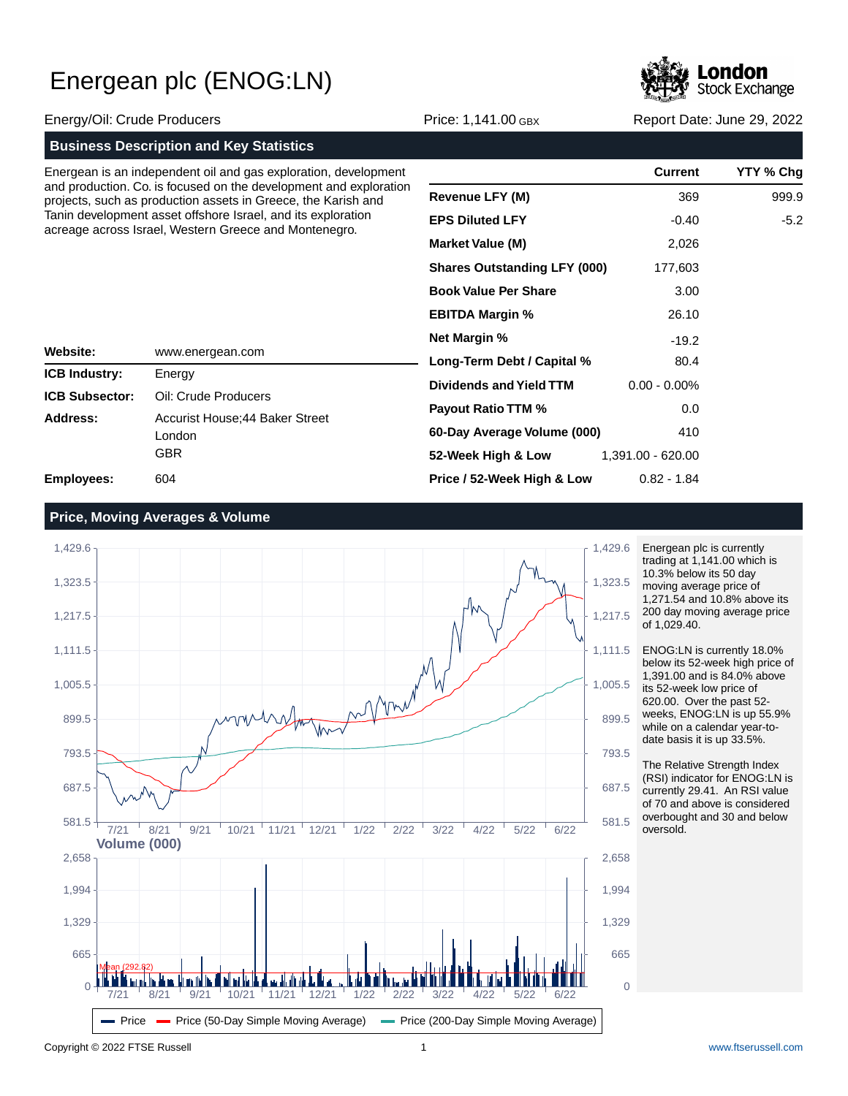

|                                                                                                                       |                                                                                                                                    |                                     | <b>CARL AND THE CONSUMER</b> |                            |
|-----------------------------------------------------------------------------------------------------------------------|------------------------------------------------------------------------------------------------------------------------------------|-------------------------------------|------------------------------|----------------------------|
| Energy/Oil: Crude Producers                                                                                           |                                                                                                                                    | Price: 1,141.00 GBX                 |                              | Report Date: June 29, 2022 |
|                                                                                                                       | <b>Business Description and Key Statistics</b>                                                                                     |                                     |                              |                            |
|                                                                                                                       | Energean is an independent oil and gas exploration, development                                                                    |                                     | <b>Current</b>               | <b>YTY % Chq</b>           |
|                                                                                                                       | and production. Co. is focused on the development and exploration<br>projects, such as production assets in Greece, the Karish and | <b>Revenue LFY (M)</b>              | 369                          | 999.9                      |
| Tanin development asset offshore Israel, and its exploration<br>acreage across Israel, Western Greece and Montenegro. |                                                                                                                                    | <b>EPS Diluted LFY</b>              | $-0.40$                      | $-5.2$                     |
|                                                                                                                       |                                                                                                                                    | <b>Market Value (M)</b>             | 2,026                        |                            |
|                                                                                                                       |                                                                                                                                    | <b>Shares Outstanding LFY (000)</b> | 177,603                      |                            |
|                                                                                                                       |                                                                                                                                    | <b>Book Value Per Share</b>         | 3.00                         |                            |
|                                                                                                                       |                                                                                                                                    | <b>EBITDA Margin %</b>              | 26.10                        |                            |
|                                                                                                                       |                                                                                                                                    | <b>Net Margin %</b>                 | $-19.2$                      |                            |
| Website:                                                                                                              | www.energean.com                                                                                                                   | Long-Term Debt / Capital %          | 80.4                         |                            |
| <b>ICB Industry:</b>                                                                                                  | Energy                                                                                                                             |                                     |                              |                            |

| <b>ICB Industry:</b>  | Energy                                           |
|-----------------------|--------------------------------------------------|
| <b>ICB Subsector:</b> | Oil: Crude Producers                             |
| Address:              | Accurist House; 44 Baker Street<br>London<br>GBR |
| Employees:            | 604                                              |

| <b>Market Value (M)</b>             | 2,026             |  |
|-------------------------------------|-------------------|--|
| <b>Shares Outstanding LFY (000)</b> | 177,603           |  |
| <b>Book Value Per Share</b>         | 3.00              |  |
| <b>EBITDA Margin %</b>              | 26.10             |  |
| <b>Net Margin %</b>                 | $-19.2$           |  |
| Long-Term Debt / Capital %          | 80.4              |  |
| Dividends and Yield TTM             | 0.00 - 0.00%      |  |
| <b>Payout Ratio TTM %</b>           | 0.0               |  |
| 60-Day Average Volume (000)         | 410               |  |
| 52-Week High & Low                  | 1,391.00 - 620.00 |  |
| Price / 52-Week High & Low          | 0.82 - 1.84       |  |

## **Price, Moving Averages & Volume**



Energean plc is currently trading at 1,141.00 which is 10.3% below its 50 day moving average price of 1,271.54 and 10.8% above its 200 day moving average price of 1,029.40.

ENOG:LN is currently 18.0% below its 52-week high price of 1,391.00 and is 84.0% above its 52-week low price of 620.00. Over the past 52 weeks, ENOG:LN is up 55.9% while on a calendar year-todate basis it is up 33.5%.

The Relative Strength Index (RSI) indicator for ENOG:LN is currently 29.41. An RSI value of 70 and above is considered overbought and 30 and below oversold.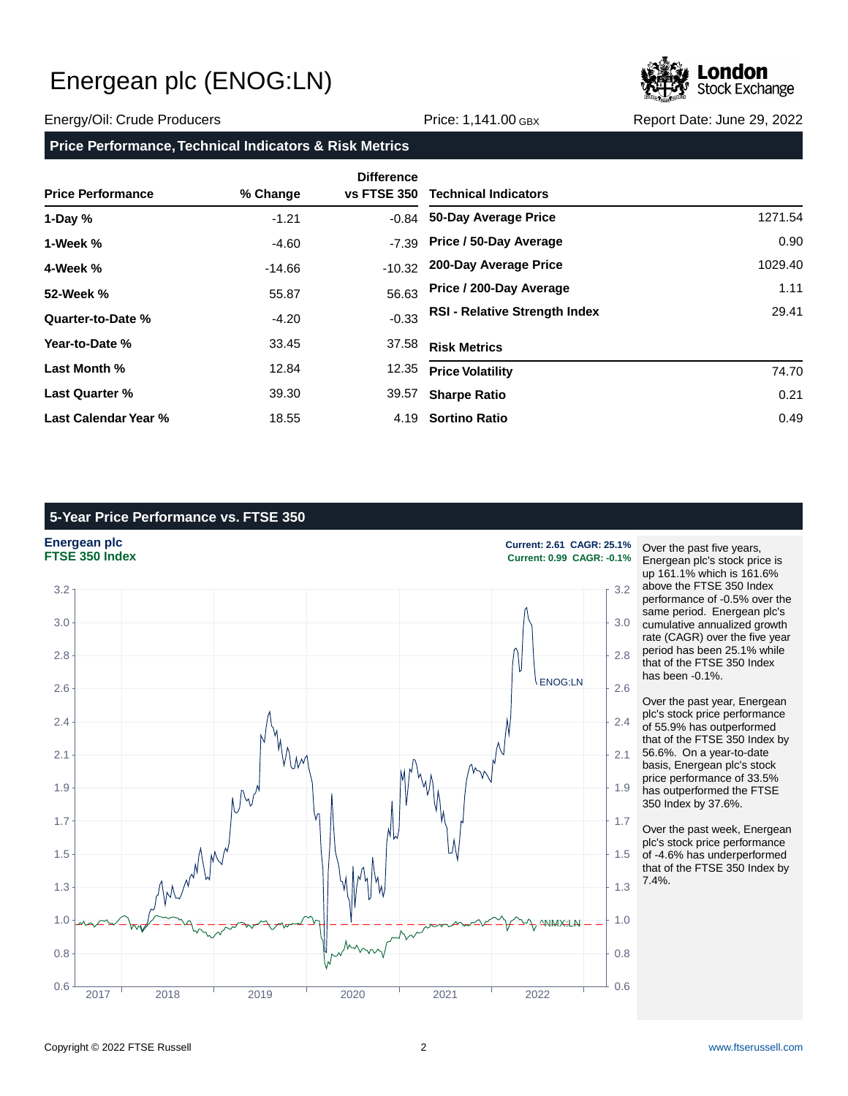

### Energy/Oil: Crude Producers Price: 1,141.00 GBX Report Date: June 29, 2022

### **Price Performance, Technical Indicators & Risk Metrics**

| <b>Price Performance</b> | % Change | <b>Difference</b><br><b>vs FTSE 350</b> | <b>Technical Indicators</b>          |         |
|--------------------------|----------|-----------------------------------------|--------------------------------------|---------|
| 1-Day $%$                | $-1.21$  |                                         | -0.84 50-Day Average Price           | 1271.54 |
| 1-Week %                 | $-4.60$  | $-7.39$                                 | Price / 50-Day Average               | 0.90    |
| 4-Week %                 | -14.66   | $-10.32$                                | 200-Day Average Price                | 1029.40 |
| 52-Week %                | 55.87    | 56.63                                   | Price / 200-Day Average              | 1.11    |
| Quarter-to-Date %        | $-4.20$  | $-0.33$                                 | <b>RSI - Relative Strength Index</b> | 29.41   |
| Year-to-Date %           | 33.45    | 37.58                                   | <b>Risk Metrics</b>                  |         |
| Last Month %             | 12.84    | 12.35                                   | <b>Price Volatility</b>              | 74.70   |
| <b>Last Quarter %</b>    | 39.30    | 39.57                                   | <b>Sharpe Ratio</b>                  | 0.21    |
| Last Calendar Year %     | 18.55    |                                         | 4.19 Sortino Ratio                   | 0.49    |

# **5-Year Price Performance vs. FTSE 350**



Over the past five years, Energean plc's stock price is up 161.1% which is 161.6% above the FTSE 350 Index performance of -0.5% over the same period. Energean plc's cumulative annualized growth rate (CAGR) over the five year period has been 25.1% while that of the FTSE 350 Index has been -0.1%.

Over the past year, Energean plc's stock price performance of 55.9% has outperformed that of the FTSE 350 Index by 56.6%. On a year-to-date basis, Energean plc's stock price performance of 33.5% has outperformed the FTSE 350 Index by 37.6%.

Over the past week, Energean plc's stock price performance of -4.6% has underperformed that of the FTSE 350 Index by 7.4%.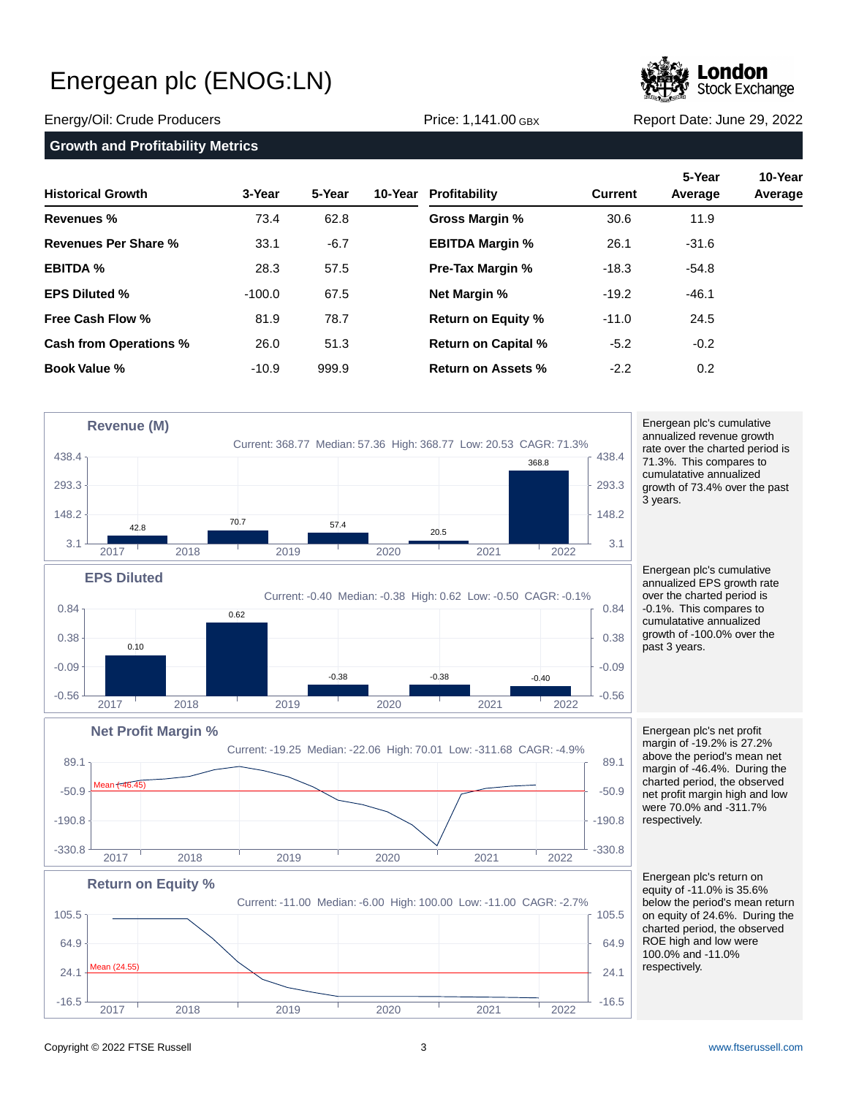

## **Growth and Profitability Metrics**

| <b>Historical Growth</b>      | 3-Year   | 5-Year | 10-Year | Profitability              | <b>Current</b> | 5-Year<br>Average | 10-Year<br>Average |
|-------------------------------|----------|--------|---------|----------------------------|----------------|-------------------|--------------------|
| <b>Revenues %</b>             | 73.4     | 62.8   |         | Gross Margin %             | 30.6           | 11.9              |                    |
| Revenues Per Share %          | 33.1     | $-6.7$ |         | <b>EBITDA Margin %</b>     | 26.1           | $-31.6$           |                    |
| <b>EBITDA %</b>               | 28.3     | 57.5   |         | <b>Pre-Tax Margin %</b>    | $-18.3$        | $-54.8$           |                    |
| <b>EPS Diluted %</b>          | $-100.0$ | 67.5   |         | <b>Net Margin %</b>        | $-19.2$        | $-46.1$           |                    |
| <b>Free Cash Flow %</b>       | 81.9     | 78.7   |         | <b>Return on Equity %</b>  | $-11.0$        | 24.5              |                    |
| <b>Cash from Operations %</b> | 26.0     | 51.3   |         | <b>Return on Capital %</b> | $-5.2$         | $-0.2$            |                    |
| <b>Book Value %</b>           | $-10.9$  | 999.9  |         | Return on Assets %         | $-2.2$         | 0.2               |                    |



Energean plc's cumulative annualized revenue growth rate over the charted period is 71.3%. This compares to cumulatative annualized growth of 73.4% over the past 3 years.

Energean plc's cumulative annualized EPS growth rate over the charted period is -0.1%. This compares to cumulatative annualized growth of -100.0% over the past 3 years.

Energean plc's net profit margin of -19.2% is 27.2% above the period's mean net margin of -46.4%. During the charted period, the observed net profit margin high and low were 70.0% and -311.7% respectively.

Energean plc's return on equity of -11.0% is 35.6% below the period's mean return on equity of 24.6%. During the charted period, the observed ROE high and low were 100.0% and -11.0% respectively.

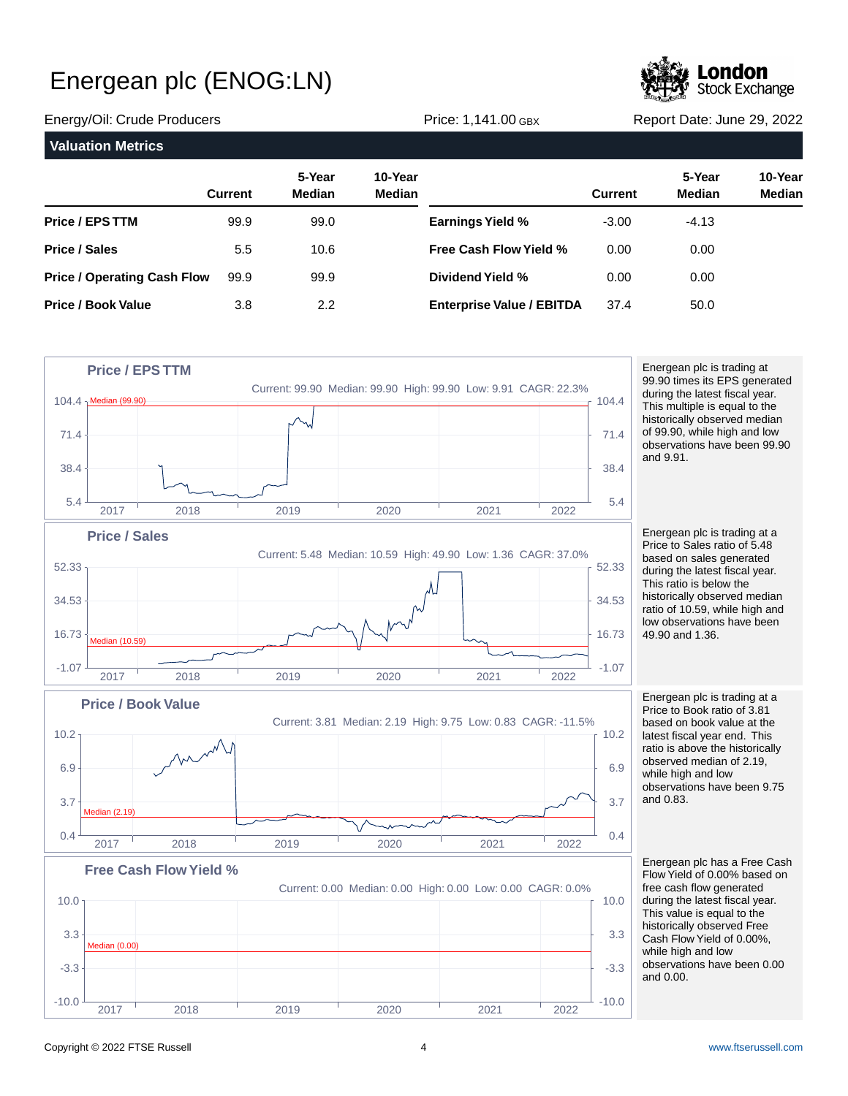

Energy/Oil: Crude Producers Price: 1,141.00 GBX Report Date: June 29, 2022

**Valuation Metrics 5-Year 10-Year Current Median Median Price / EPS TTM Price / Sales Price / Operating Cash Flow Price / Book Value 5-Year 10-Year Current Median Median Earnings Yield % Free Cash Flow Yield % Dividend Yield % Enterprise Value / EBITDA** 99.9 5.5 99.9 3.8 99.0 10.6 99.9 2.2 -3.00 0.00 0.00 37.4 -4.13 0.00 0.00 50.0



Energean plc is trading at 99.90 times its EPS generated during the latest fiscal year. This multiple is equal to the historically observed median of 99.90, while high and low observations have been 99.90 and 9.91.

Energean plc is trading at a Price to Sales ratio of 5.48 based on sales generated during the latest fiscal year. This ratio is below the historically observed median ratio of 10.59, while high and low observations have been 49.90 and 1.36.

Energean plc is trading at a Price to Book ratio of 3.81 based on book value at the latest fiscal year end. This ratio is above the historically observed median of 2.19, while high and low observations have been 9.75 and 0.83.

Energean plc has a Free Cash Flow Yield of 0.00% based on free cash flow generated during the latest fiscal year. This value is equal to the historically observed Free Cash Flow Yield of 0.00%, while high and low observations have been 0.00 and 0.00.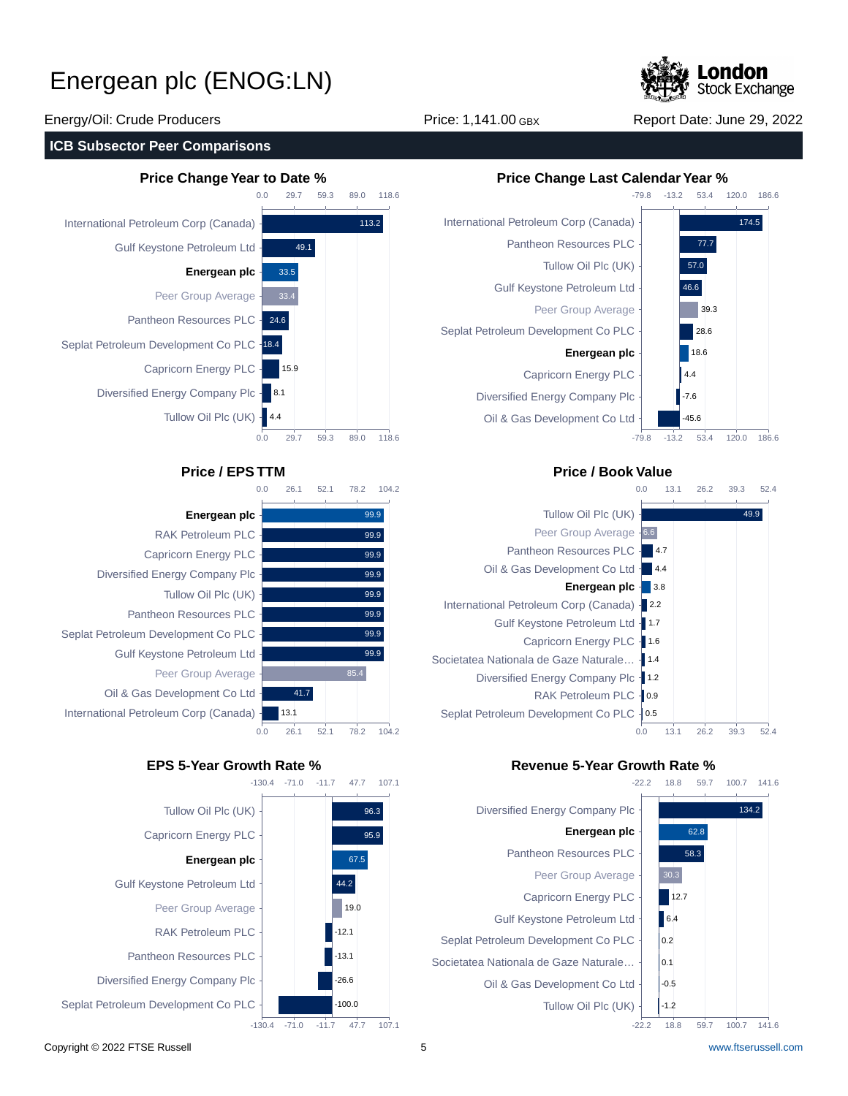

Energy/Oil: Crude Producers Price: 1,141.00 GBX Report Date: June 29, 2022

## **ICB Subsector Peer Comparisons**



|              | 0.0 | 26.1 |      | 52.1 | 78.2 |      | 104.2 |
|--------------|-----|------|------|------|------|------|-------|
|              |     |      |      |      |      |      |       |
| ergean plc   |     |      |      |      |      | 99.9 |       |
| roleum PLC   |     |      |      |      |      | 99.9 |       |
| Energy PLC   |     |      |      |      |      | 99.9 |       |
| ompany Plc · |     |      |      |      |      | 99.9 |       |
| Oil Plc (UK) |     |      |      |      |      | 99.9 |       |
| ources PLC   |     |      |      |      |      | 99.9 |       |
| ent Co PLC   |     |      |      |      |      | 99.9 |       |
| troleum Ltd  |     |      |      |      |      | 99.9 |       |
| up Average   |     |      |      |      | 85.4 |      |       |
| nent Co Ltd  |     |      | 41.7 |      |      |      |       |
| p (Canada) - |     | 13.1 |      |      |      |      |       |
|              | 0.0 | 26.1 |      | 52.1 | 78.2 |      | 104.2 |

118.6

**En** RAK Petr Capricorn E Diversified Energy C Tullow ( Pantheon Res Seplat Petroleum Developme Gulf Keystone Pe Peer Grou Oil & Gas Developn International Petroleum Corp



# **Price Change Year to Date % Price Change Last Calendar Year %**



## **Price / EPS TTM Price / Book Value**



# **EPS 5-Year Growth Rate % Revenue 5-Year Growth Rate %**

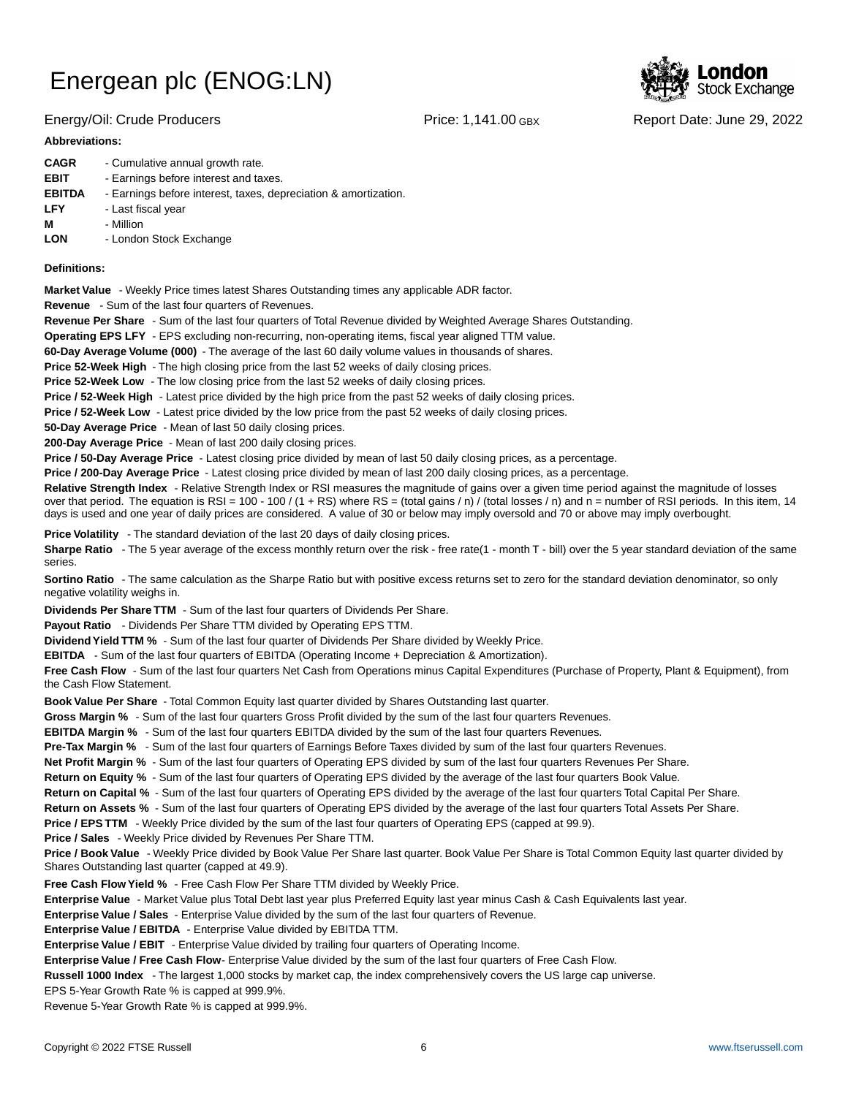## Energy/Oil: Crude Producers Price: 1,141.00 GBX Report Date: June 29, 2022

### **Abbreviations:**

| <b>CAGR</b>   | - Cumulative annual growth rate.                                |
|---------------|-----------------------------------------------------------------|
| <b>EBIT</b>   | - Earnings before interest and taxes.                           |
| <b>EBITDA</b> | - Earnings before interest, taxes, depreciation & amortization. |
| <b>LFY</b>    | - Last fiscal year                                              |
| м             | - Million                                                       |
| <b>LON</b>    | - London Stock Exchange                                         |

### **Definitions:**

**Market Value** - Weekly Price times latest Shares Outstanding times any applicable ADR factor.

**Revenue** - Sum of the last four quarters of Revenues.

**Revenue Per Share** - Sum of the last four quarters of Total Revenue divided by Weighted Average Shares Outstanding.

**Operating EPS LFY** - EPS excluding non-recurring, non-operating items, fiscal year aligned TTM value.

60-Day Average Volume (000) - The average of the last 60 daily volume values in thousands of shares.

**Price 52-Week High** - The high closing price from the last 52 weeks of daily closing prices.

**Price 52-Week Low** - The low closing price from the last 52 weeks of daily closing prices.

**Price / 52-Week High** - Latest price divided by the high price from the past 52 weeks of daily closing prices.

**Price / 52-Week Low** - Latest price divided by the low price from the past 52 weeks of daily closing prices.

**50-Day Average Price** - Mean of last 50 daily closing prices.

**200-Day Average Price** - Mean of last 200 daily closing prices.

Price / 50-Day Average Price - Latest closing price divided by mean of last 50 daily closing prices, as a percentage.

**Price / 200-Day Average Price** - Latest closing price divided by mean of last 200 daily closing prices, as a percentage.

Relative Strength Index - Relative Strength Index or RSI measures the magnitude of gains over a given time period against the magnitude of losses over that period. The equation is RSI = 100 - 100 / (1 + RS) where RS = (total gains / n) / (total losses / n) and n = number of RSI periods. In this item, 14 days is used and one year of daily prices are considered. A value of 30 or below may imply oversold and 70 or above may imply overbought.

**Price Volatility** - The standard deviation of the last 20 days of daily closing prices.

Sharpe Ratio - The 5 year average of the excess monthly return over the risk - free rate(1 - month T - bill) over the 5 year standard deviation of the same series.

**Sortino Ratio** - The same calculation as the Sharpe Ratio but with positive excess returns set to zero for the standard deviation denominator, so only negative volatility weighs in.

**Dividends Per Share TTM** - Sum of the last four quarters of Dividends Per Share.

Payout Ratio - Dividends Per Share TTM divided by Operating EPS TTM.

**Dividend Yield TTM %** - Sum of the last four quarter of Dividends Per Share divided by Weekly Price.

**EBITDA** - Sum of the last four quarters of EBITDA (Operating Income + Depreciation & Amortization).

**Free Cash Flow** - Sum of the last four quarters Net Cash from Operations minus Capital Expenditures (Purchase of Property, Plant & Equipment), from the Cash Flow Statement.

**Book Value Per Share** - Total Common Equity last quarter divided by Shares Outstanding last quarter.

**Gross Margin %** - Sum of the last four quarters Gross Profit divided by the sum of the last four quarters Revenues.

**EBITDA Margin %** - Sum of the last four quarters EBITDA divided by the sum of the last four quarters Revenues.

**Pre-Tax Margin %** - Sum of the last four quarters of Earnings Before Taxes divided by sum of the last four quarters Revenues.

**Net Profit Margin %** - Sum of the last four quarters of Operating EPS divided by sum of the last four quarters Revenues Per Share.

**Return on Equity %** - Sum of the last four quarters of Operating EPS divided by the average of the last four quarters Book Value.

**Return on Capital %** - Sum of the last four quarters of Operating EPS divided by the average of the last four quarters Total Capital Per Share.

**Return on Assets %** - Sum of the last four quarters of Operating EPS divided by the average of the last four quarters Total Assets Per Share.

**Price / EPS TTM** - Weekly Price divided by the sum of the last four quarters of Operating EPS (capped at 99.9).

**Price / Sales** - Weekly Price divided by Revenues Per Share TTM.

**Price / Book Value** - Weekly Price divided by Book Value Per Share last quarter. Book Value Per Share is Total Common Equity last quarter divided by Shares Outstanding last quarter (capped at 49.9).

**Free Cash Flow Yield %** - Free Cash Flow Per Share TTM divided by Weekly Price.

Enterprise Value - Market Value plus Total Debt last year plus Preferred Equity last year minus Cash & Cash Equivalents last year.

**Enterprise Value / Sales** - Enterprise Value divided by the sum of the last four quarters of Revenue.

**Enterprise Value / EBITDA** - Enterprise Value divided by EBITDA TTM.

**Enterprise Value / EBIT** - Enterprise Value divided by trailing four quarters of Operating Income.

Enterprise Value / Free Cash Flow- Enterprise Value divided by the sum of the last four quarters of Free Cash Flow.

**Russell 1000 Index** - The largest 1,000 stocks by market cap, the index comprehensively covers the US large cap universe.

EPS 5-Year Growth Rate % is capped at 999.9%.

Revenue 5-Year Growth Rate % is capped at 999.9%.